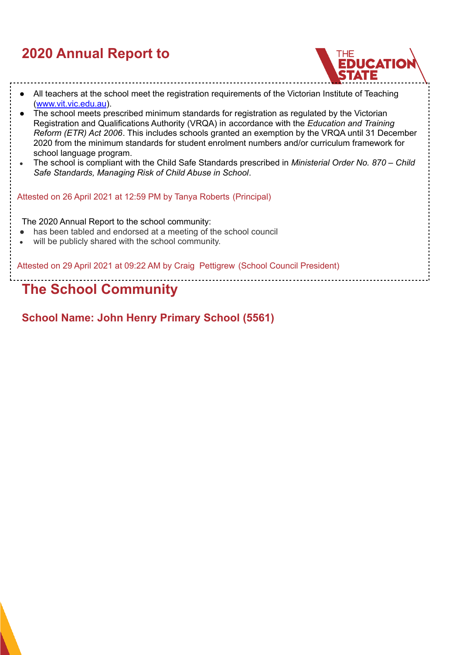# **2020 Annual Report to**



- All teachers at the school meet the registration requirements of the Victorian Institute of Teaching ([www.vit.vic.edu.au](https://www.vit.vic.edu.au/)).
- The school meets prescribed minimum standards for registration as regulated by the Victorian Registration and Qualifications Authority (VRQA) in accordance with the *Education and Training Reform (ETR) Act 2006*. This includes schools granted an exemption by the VRQA until 31 December 2020 from the minimum standards for student enrolment numbers and/or curriculum framework for school language program.
- The school is compliant with the Child Safe Standards prescribed in *Ministerial Order No. 870 – Child Safe Standards, Managing Risk of Child Abuse in School*.

Attested on 26 April 2021 at 12:59 PM by Tanya Roberts (Principal)

The 2020 Annual Report to the school community:

- has been tabled and endorsed at a meeting of the school council
- will be publicly shared with the school community.

Attested on 29 April 2021 at 09:22 AM by Craig Pettigrew (School Council President)

# **The School Community**

**School Name: John Henry Primary School (5561)**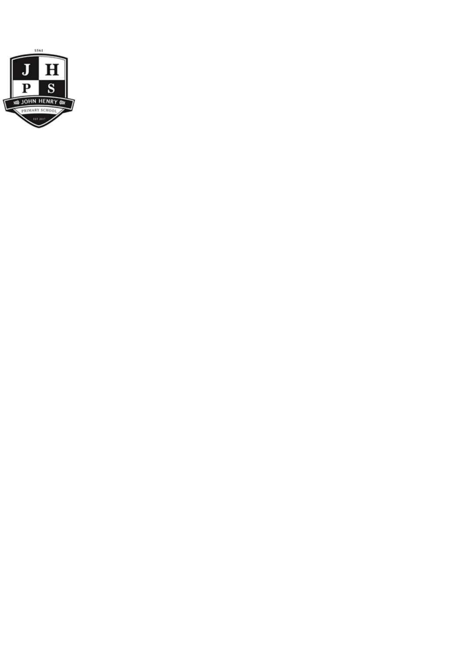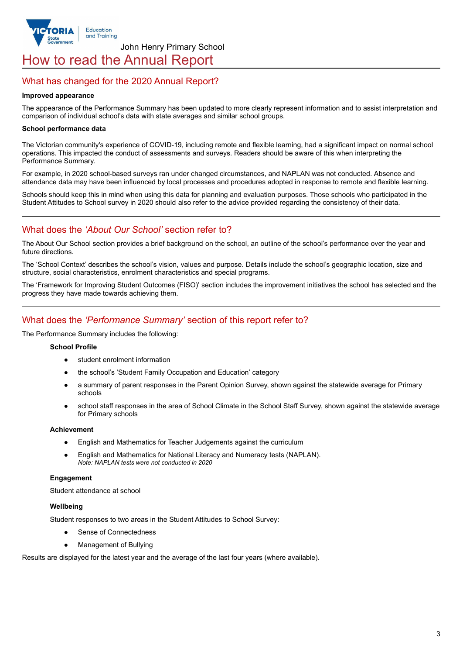

# How to read the Annual Report

# What has changed for the 2020 Annual Report?

#### **Improved appearance**

The appearance of the Performance Summary has been updated to more clearly represent information and to assist interpretation and comparison of individual school's data with state averages and similar school groups.

#### **School performance data**

The Victorian community's experience of COVID-19, including remote and flexible learning, had a significant impact on normal school operations. This impacted the conduct of assessments and surveys. Readers should be aware of this when interpreting the Performance Summary.

For example, in 2020 school-based surveys ran under changed circumstances, and NAPLAN was not conducted. Absence and attendance data may have been influenced by local processes and procedures adopted in response to remote and flexible learning.

Schools should keep this in mind when using this data for planning and evaluation purposes. Those schools who participated in the Student Attitudes to School survey in 2020 should also refer to the advice provided regarding the consistency of their data.

# What does the *'About Our School'* section refer to?

The About Our School section provides a brief background on the school, an outline of the school's performance over the year and future directions.

The 'School Context' describes the school's vision, values and purpose. Details include the school's geographic location, size and structure, social characteristics, enrolment characteristics and special programs.

The 'Framework for Improving Student Outcomes (FISO)' section includes the improvement initiatives the school has selected and the progress they have made towards achieving them.

# What does the *'Performance Summary'* section of this report refer to?

The Performance Summary includes the following:

#### **School Profile**

- student enrolment information
- the school's 'Student Family Occupation and Education' category
- a summary of parent responses in the Parent Opinion Survey, shown against the statewide average for Primary schools
- school staff responses in the area of School Climate in the School Staff Survey, shown against the statewide average for Primary schools

#### **Achievement**

- English and Mathematics for Teacher Judgements against the curriculum
- English and Mathematics for National Literacy and Numeracy tests (NAPLAN). *Note: NAPLAN tests were not conducted in 2020*

#### **Engagement**

Student attendance at school

#### **Wellbeing**

Student responses to two areas in the Student Attitudes to School Survey:

- Sense of Connectedness
- Management of Bullying

Results are displayed for the latest year and the average of the last four years (where available).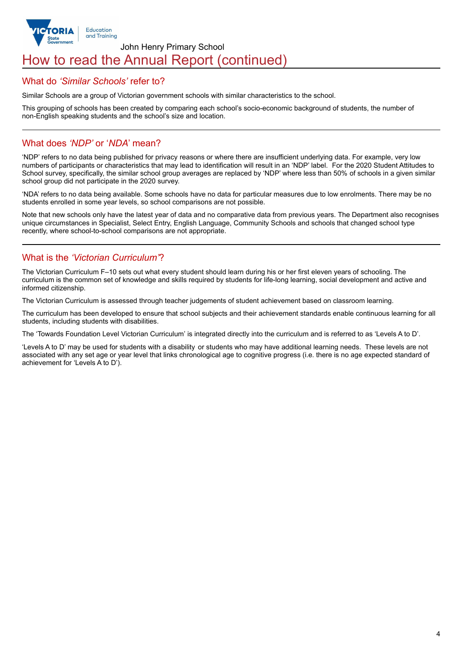

# How to read the Annual Report (continued)

# What do *'Similar Schools'* refer to?

Similar Schools are a group of Victorian government schools with similar characteristics to the school.

This grouping of schools has been created by comparing each school's socio-economic background of students, the number of non-English speaking students and the school's size and location.

# What does *'NDP'* or '*NDA*' mean?

'NDP' refers to no data being published for privacy reasons or where there are insufficient underlying data. For example, very low numbers of participants or characteristics that may lead to identification will result in an 'NDP' label. For the 2020 Student Attitudes to School survey, specifically, the similar school group averages are replaced by 'NDP' where less than 50% of schools in a given similar school group did not participate in the 2020 survey.

'NDA' refers to no data being available. Some schools have no data for particular measures due to low enrolments. There may be no students enrolled in some year levels, so school comparisons are not possible.

Note that new schools only have the latest year of data and no comparative data from previous years. The Department also recognises unique circumstances in Specialist, Select Entry, English Language, Community Schools and schools that changed school type recently, where school-to-school comparisons are not appropriate.

# What is the *'Victorian Curriculum'*?

The Victorian Curriculum F–10 sets out what every student should learn during his or her first eleven years of schooling. The curriculum is the common set of knowledge and skills required by students for life-long learning, social development and active and informed citizenship.

The Victorian Curriculum is assessed through teacher judgements of student achievement based on classroom learning.

The curriculum has been developed to ensure that school subjects and their achievement standards enable continuous learning for all students, including students with disabilities.

The 'Towards Foundation Level Victorian Curriculum' is integrated directly into the curriculum and is referred to as 'Levels A to D'.

'Levels A to D' may be used for students with a disability or students who may have additional learning needs. These levels are not associated with any set age or year level that links chronological age to cognitive progress (i.e. there is no age expected standard of achievement for 'Levels A to D').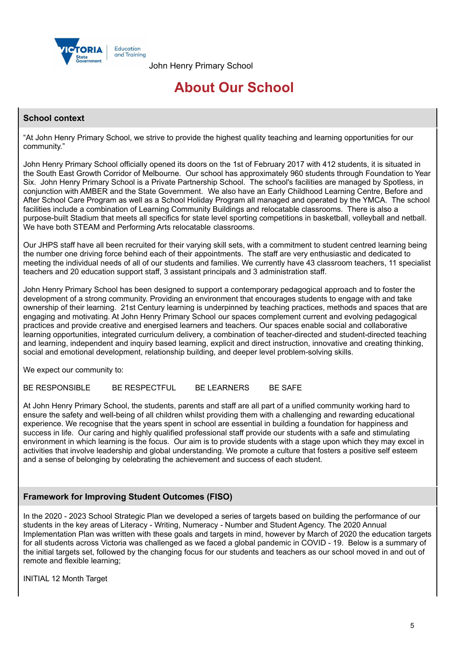

# **About Our School**

### **School context**

"At John Henry Primary School, we strive to provide the highest quality teaching and learning opportunities for our community."

John Henry Primary School officially opened its doors on the 1st of February 2017 with 412 students, it is situated in the South East Growth Corridor of Melbourne. Our school has approximately 960 students through Foundation to Year Six. John Henry Primary School is a Private Partnership School. The school's facilities are managed by Spotless, in conjunction with AMBER and the State Government. We also have an Early Childhood Learning Centre, Before and After School Care Program as well as a School Holiday Program all managed and operated by the YMCA. The school facilities include a combination of Learning Community Buildings and relocatable classrooms. There is also a purpose-built Stadium that meets all specifics for state level sporting competitions in basketball, volleyball and netball. We have both STEAM and Performing Arts relocatable classrooms.

Our JHPS staff have all been recruited for their varying skill sets, with a commitment to student centred learning being the number one driving force behind each of their appointments. The staff are very enthusiastic and dedicated to meeting the individual needs of all of our students and families. We currently have 43 classroom teachers, 11 specialist teachers and 20 education support staff, 3 assistant principals and 3 administration staff.

John Henry Primary School has been designed to support a contemporary pedagogical approach and to foster the development of a strong community. Providing an environment that encourages students to engage with and take ownership of their learning. 21st Century learning is underpinned by teaching practices, methods and spaces that are engaging and motivating. At John Henry Primary School our spaces complement current and evolving pedagogical practices and provide creative and energised learners and teachers. Our spaces enable social and collaborative learning opportunities, integrated curriculum delivery, a combination of teacher-directed and student-directed teaching and learning, independent and inquiry based learning, explicit and direct instruction, innovative and creating thinking, social and emotional development, relationship building, and deeper level problem-solving skills.

We expect our community to:

BE RESPONSIBLE BE RESPECTFUL BE LEARNERS BE SAFE

At John Henry Primary School, the students, parents and staff are all part of a unified community working hard to ensure the safety and well-being of all children whilst providing them with a challenging and rewarding educational experience. We recognise that the years spent in school are essential in building a foundation for happiness and success in life. Our caring and highly qualified professional staff provide our students with a safe and stimulating environment in which learning is the focus. Our aim is to provide students with a stage upon which they may excel in activities that involve leadership and global understanding. We promote a culture that fosters a positive self esteem and a sense of belonging by celebrating the achievement and success of each student.

# **Framework for Improving Student Outcomes (FISO)**

In the 2020 - 2023 School Strategic Plan we developed a series of targets based on building the performance of our students in the key areas of Literacy - Writing, Numeracy - Number and Student Agency. The 2020 Annual Implementation Plan was written with these goals and targets in mind, however by March of 2020 the education targets for all students across Victoria was challenged as we faced a global pandemic in COVID - 19. Below is a summary of the initial targets set, followed by the changing focus for our students and teachers as our school moved in and out of remote and flexible learning;

INITIAL 12 Month Target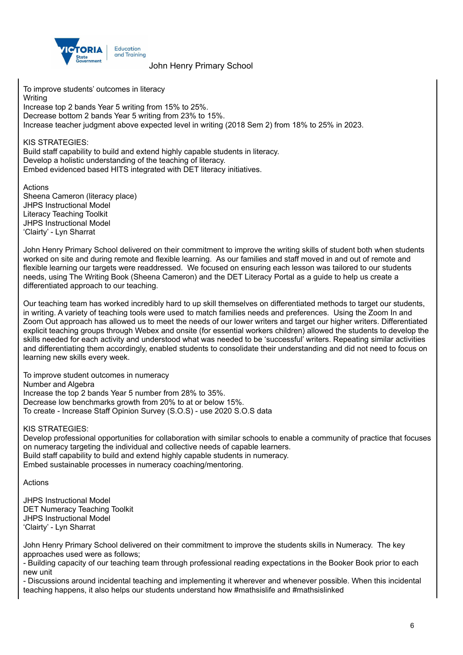

To improve students' outcomes in literacy **Writing** Increase top 2 bands Year 5 writing from 15% to 25%. Decrease bottom 2 bands Year 5 writing from 23% to 15%. Increase teacher judgment above expected level in writing (2018 Sem 2) from 18% to 25% in 2023.

KIS STRATEGIES:

Build staff capability to build and extend highly capable students in literacy. Develop a holistic understanding of the teaching of literacy. Embed evidenced based HITS integrated with DET literacy initiatives.

Actions Sheena Cameron (literacy place) JHPS Instructional Model Literacy Teaching Toolkit JHPS Instructional Model 'Clairty' - Lyn Sharrat

John Henry Primary School delivered on their commitment to improve the writing skills of student both when students worked on site and during remote and flexible learning. As our families and staff moved in and out of remote and flexible learning our targets were readdressed. We focused on ensuring each lesson was tailored to our students needs, using The Writing Book (Sheena Cameron) and the DET Literacy Portal as a guide to help us create a differentiated approach to our teaching.

Our teaching team has worked incredibly hard to up skill themselves on differentiated methods to target our students, in writing. A variety of teaching tools were used to match families needs and preferences. Using the Zoom In and Zoom Out approach has allowed us to meet the needs of our lower writers and target our higher writers. Differentiated explicit teaching groups through Webex and onsite (for essential workers children) allowed the students to develop the skills needed for each activity and understood what was needed to be 'successful' writers. Repeating similar activities and differentiating them accordingly, enabled students to consolidate their understanding and did not need to focus on learning new skills every week.

To improve student outcomes in numeracy Number and Algebra Increase the top 2 bands Year 5 number from 28% to 35%. Decrease low benchmarks growth from 20% to at or below 15%. To create - Increase Staff Opinion Survey (S.O.S) - use 2020 S.O.S data

KIS STRATEGIES:

Develop professional opportunities for collaboration with similar schools to enable a community of practice that focuses on numeracy targeting the individual and collective needs of capable learners. Build staff capability to build and extend highly capable students in numeracy. Embed sustainable processes in numeracy coaching/mentoring.

#### Actions

JHPS Instructional Model DET Numeracy Teaching Toolkit JHPS Instructional Model 'Clairty' - Lyn Sharrat

John Henry Primary School delivered on their commitment to improve the students skills in Numeracy. The key approaches used were as follows;

- Building capacity of our teaching team through professional reading expectations in the Booker Book prior to each new unit

- Discussions around incidental teaching and implementing it wherever and whenever possible. When this incidental teaching happens, it also helps our students understand how #mathsislife and #mathsislinked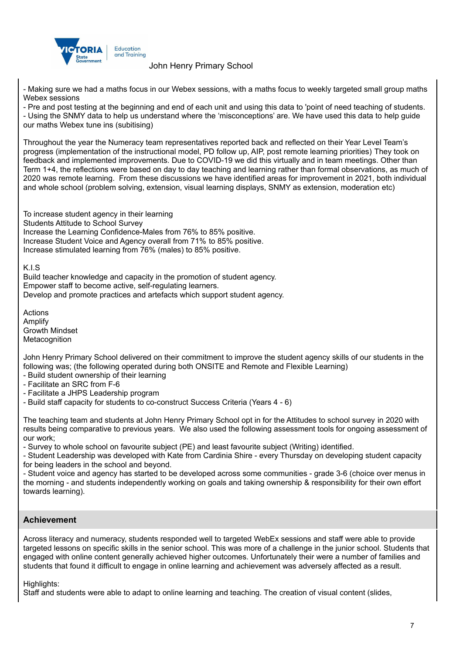

- Making sure we had a maths focus in our Webex sessions, with a maths focus to weekly targeted small group maths Webex sessions

- Pre and post testing at the beginning and end of each unit and using this data to 'point of need teaching of students. - Using the SNMY data to help us understand where the 'misconceptions' are. We have used this data to help guide our maths Webex tune ins (subitising)

Throughout the year the Numeracy team representatives reported back and reflected on their Year Level Team's progress (implementation of the instructional model, PD follow up, AIP, post remote learning priorities) They took on feedback and implemented improvements. Due to COVID-19 we did this virtually and in team meetings. Other than Term 1+4, the reflections were based on day to day teaching and learning rather than formal observations, as much of 2020 was remote learning. From these discussions we have identified areas for improvement in 2021, both individual and whole school (problem solving, extension, visual learning displays, SNMY as extension, moderation etc)

To increase student agency in their learning Students Attitude to School Survey Increase the Learning Confidence-Males from 76% to 85% positive. Increase Student Voice and Agency overall from 71% to 85% positive. Increase stimulated learning from 76% (males) to 85% positive.

K.I.S

Build teacher knowledge and capacity in the promotion of student agency. Empower staff to become active, self-regulating learners. Develop and promote practices and artefacts which support student agency.

Actions Amplify Growth Mindset Metacognition

John Henry Primary School delivered on their commitment to improve the student agency skills of our students in the following was; (the following operated during both ONSITE and Remote and Flexible Learning)

- Build student ownership of their learning
- Facilitate an SRC from F-6
- Facilitate a JHPS Leadership program
- Build staff capacity for students to co-construct Success Criteria (Years 4 6)

The teaching team and students at John Henry Primary School opt in for the Attitudes to school survey in 2020 with results being comparative to previous years. We also used the following assessment tools for ongoing assessment of our work;

- Survey to whole school on favourite subject (PE) and least favourite subject (Writing) identified.

- Student Leadership was developed with Kate from Cardinia Shire - every Thursday on developing student capacity for being leaders in the school and beyond.

- Student voice and agency has started to be developed across some communities - grade 3-6 (choice over menus in the morning - and students independently working on goals and taking ownership & responsibility for their own effort towards learning).

# **Achievement**

Across literacy and numeracy, students responded well to targeted WebEx sessions and staff were able to provide targeted lessons on specific skills in the senior school. This was more of a challenge in the junior school. Students that engaged with online content generally achieved higher outcomes. Unfortunately their were a number of families and students that found it difficult to engage in online learning and achievement was adversely affected as a result.

#### Highlights:

Staff and students were able to adapt to online learning and teaching. The creation of visual content (slides,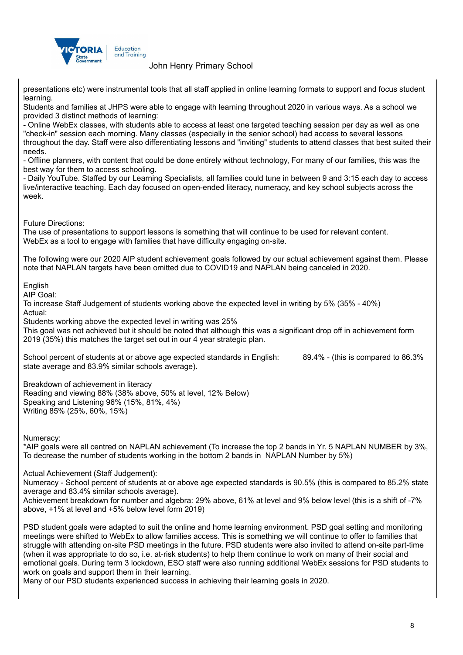

presentations etc) were instrumental tools that all staff applied in online learning formats to support and focus student learning.

Students and families at JHPS were able to engage with learning throughout 2020 in various ways. As a school we provided 3 distinct methods of learning:

- Online WebEx classes, with students able to access at least one targeted teaching session per day as well as one "check-in" session each morning. Many classes (especially in the senior school) had access to several lessons throughout the day. Staff were also differentiating lessons and "inviting" students to attend classes that best suited their needs.

- Offline planners, with content that could be done entirely without technology, For many of our families, this was the best way for them to access schooling.

- Daily YouTube. Staffed by our Learning Specialists, all families could tune in between 9 and 3:15 each day to access live/interactive teaching. Each day focused on open-ended literacy, numeracy, and key school subjects across the week.

Future Directions:

The use of presentations to support lessons is something that will continue to be used for relevant content. WebEx as a tool to engage with families that have difficulty engaging on-site.

The following were our 2020 AIP student achievement goals followed by our actual achievement against them. Please note that NAPLAN targets have been omitted due to COVID19 and NAPLAN being canceled in 2020.

**English** 

AIP Goal:

To increase Staff Judgement of students working above the expected level in writing by 5% (35% - 40%) Actual:

Students working above the expected level in writing was 25%

This goal was not achieved but it should be noted that although this was a significant drop off in achievement form 2019 (35%) this matches the target set out in our 4 year strategic plan.

School percent of students at or above age expected standards in English: 89.4% - (this is compared to 86.3% state average and 83.9% similar schools average).

Breakdown of achievement in literacy Reading and viewing 88% (38% above, 50% at level, 12% Below) Speaking and Listening 96% (15%, 81%, 4%) Writing 85% (25%, 60%, 15%)

Numeracy:

\*AIP goals were all centred on NAPLAN achievement (To increase the top 2 bands in Yr. 5 NAPLAN NUMBER by 3%, To decrease the number of students working in the bottom 2 bands in NAPLAN Number by 5%)

Actual Achievement (Staff Judgement):

Numeracy - School percent of students at or above age expected standards is 90.5% (this is compared to 85.2% state average and 83.4% similar schools average).

Achievement breakdown for number and algebra: 29% above, 61% at level and 9% below level (this is a shift of -7% above, +1% at level and +5% below level form 2019)

PSD student goals were adapted to suit the online and home learning environment. PSD goal setting and monitoring meetings were shifted to WebEx to allow families access. This is something we will continue to offer to families that struggle with attending on-site PSD meetings in the future. PSD students were also invited to attend on-site part-time (when it was appropriate to do so, i.e. at-risk students) to help them continue to work on many of their social and emotional goals. During term 3 lockdown, ESO staff were also running additional WebEx sessions for PSD students to work on goals and support them in their learning.

Many of our PSD students experienced success in achieving their learning goals in 2020.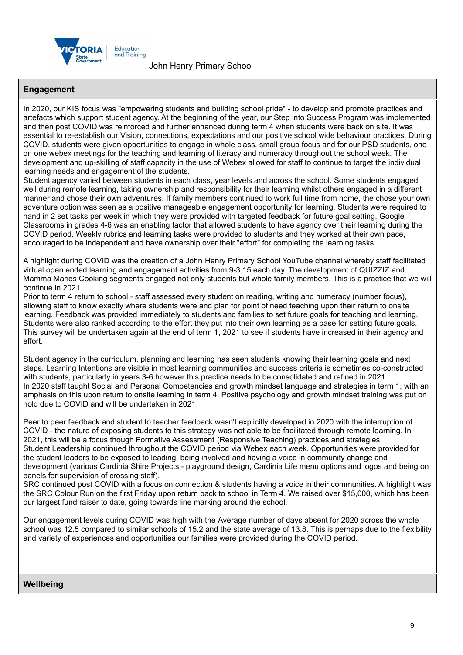

## **Engagement**

In 2020, our KIS focus was "empowering students and building school pride" - to develop and promote practices and artefacts which support student agency. At the beginning of the year, our Step into Success Program was implemented and then post COVID was reinforced and further enhanced during term 4 when students were back on site. It was essential to re-establish our Vision, connections, expectations and our positive school wide behaviour practices. During COVID, students were given opportunities to engage in whole class, small group focus and for our PSD students, one on one webex meetings for the teaching and learning of literacy and numeracy throughout the school week. The development and up-skilling of staff capacity in the use of Webex allowed for staff to continue to target the individual learning needs and engagement of the students.

Student agency varied between students in each class, year levels and across the school. Some students engaged well during remote learning, taking ownership and responsibility for their learning whilst others engaged in a different manner and chose their own adventures. If family members continued to work full time from home, the chose your own adventure option was seen as a positive manageable engagement opportunity for learning. Students were required to hand in 2 set tasks per week in which they were provided with targeted feedback for future goal setting. Google Classrooms in grades 4-6 was an enabling factor that allowed students to have agency over their learning during the COVID period. Weekly rubrics and learning tasks were provided to students and they worked at their own pace, encouraged to be independent and have ownership over their "effort" for completing the learning tasks.

A highlight during COVID was the creation of a John Henry Primary School YouTube channel whereby staff facilitated virtual open ended learning and engagement activities from 9-3.15 each day. The development of QUIZZIZ and Mamma Maries Cooking segments engaged not only students but whole family members. This is a practice that we will continue in 2021.

Prior to term 4 return to school - staff assessed every student on reading, writing and numeracy (number focus), allowing staff to know exactly where students were and plan for point of need teaching upon their return to onsite learning. Feedback was provided immediately to students and families to set future goals for teaching and learning. Students were also ranked according to the effort they put into their own learning as a base for setting future goals. This survey will be undertaken again at the end of term 1, 2021 to see if students have increased in their agency and effort.

Student agency in the curriculum, planning and learning has seen students knowing their learning goals and next steps. Learning Intentions are visible in most learning communities and success criteria is sometimes co-constructed with students, particularly in years 3-6 however this practice needs to be consolidated and refined in 2021. In 2020 staff taught Social and Personal Competencies and growth mindset language and strategies in term 1, with an emphasis on this upon return to onsite learning in term 4. Positive psychology and growth mindset training was put on hold due to COVID and will be undertaken in 2021.

Peer to peer feedback and student to teacher feedback wasn't explicitly developed in 2020 with the interruption of COVID - the nature of exposing students to this strategy was not able to be facilitated through remote learning. In 2021, this will be a focus though Formative Assessment (Responsive Teaching) practices and strategies. Student Leadership continued throughout the COVID period via Webex each week. Opportunities were provided for the student leaders to be exposed to leading, being involved and having a voice in community change and development (various Cardinia Shire Projects - playground design, Cardinia Life menu options and logos and being on panels for supervision of crossing staff).

SRC continued post COVID with a focus on connection & students having a voice in their communities. A highlight was the SRC Colour Run on the first Friday upon return back to school in Term 4. We raised over \$15,000, which has been our largest fund raiser to date, going towards line marking around the school.

Our engagement levels during COVID was high with the Average number of days absent for 2020 across the whole school was 12.5 compared to similar schools of 15.2 and the state average of 13.8. This is perhaps due to the flexibility and variety of experiences and opportunities our families were provided during the COVID period.

#### **Wellbeing**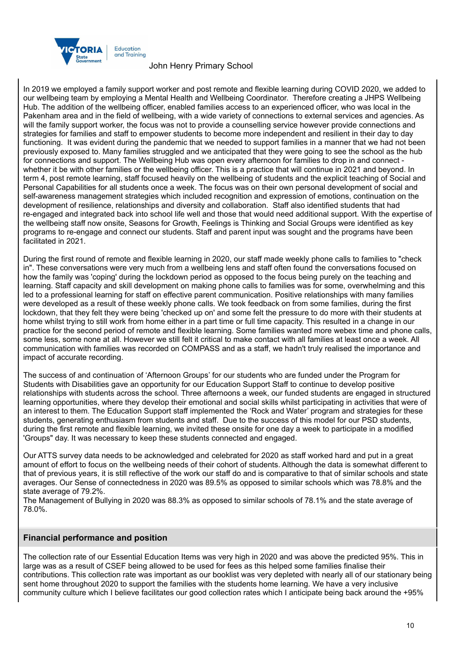

In 2019 we employed a family support worker and post remote and flexible learning during COVID 2020, we added to our wellbeing team by employing a Mental Health and Wellbeing Coordinator. Therefore creating a JHPS Wellbeing Hub. The addition of the wellbeing officer, enabled families access to an experienced officer, who was local in the Pakenham area and in the field of wellbeing, with a wide variety of connections to external services and agencies. As will the family support worker, the focus was not to provide a counselling service however provide connections and strategies for families and staff to empower students to become more independent and resilient in their day to day functioning. It was evident during the pandemic that we needed to support families in a manner that we had not been previously exposed to. Many families struggled and we anticipated that they were going to see the school as the hub for connections and support. The Wellbeing Hub was open every afternoon for families to drop in and connect whether it be with other families or the wellbeing officer. This is a practice that will continue in 2021 and beyond. In term 4, post remote learning, staff focused heavily on the wellbeing of students and the explicit teaching of Social and Personal Capabilities for all students once a week. The focus was on their own personal development of social and self-awareness management strategies which included recognition and expression of emotions, continuation on the development of resilience, relationships and diversity and collaboration. Staff also identified students that had re-engaged and integrated back into school life well and those that would need additional support. With the expertise of the wellbeing staff now onsite, Seasons for Growth, Feelings is Thinking and Social Groups were identified as key programs to re-engage and connect our students. Staff and parent input was sought and the programs have been facilitated in 2021.

During the first round of remote and flexible learning in 2020, our staff made weekly phone calls to families to "check in". These conversations were very much from a wellbeing lens and staff often found the conversations focused on how the family was 'coping' during the lockdown period as opposed to the focus being purely on the teaching and learning. Staff capacity and skill development on making phone calls to families was for some, overwhelming and this led to a professional learning for staff on effective parent communication. Positive relationships with many families were developed as a result of these weekly phone calls. We took feedback on from some families, during the first lockdown, that they felt they were being 'checked up on' and some felt the pressure to do more with their students at home whilst trying to still work from home either in a part time or full time capacity. This resulted in a change in our practice for the second period of remote and flexible learning. Some families wanted more webex time and phone calls, some less, some none at all. However we still felt it critical to make contact with all families at least once a week. All communication with families was recorded on COMPASS and as a staff, we hadn't truly realised the importance and impact of accurate recording.

The success of and continuation of 'Afternoon Groups' for our students who are funded under the Program for Students with Disabilities gave an opportunity for our Education Support Staff to continue to develop positive relationships with students across the school. Three afternoons a week, our funded students are engaged in structured learning opportunities, where they develop their emotional and social skills whilst participating in activities that were of an interest to them. The Education Support staff implemented the 'Rock and Water' program and strategies for these students, generating enthusiasm from students and staff. Due to the success of this model for our PSD students, during the first remote and flexible learning, we invited these onsite for one day a week to participate in a modified 'Groups" day. It was necessary to keep these students connected and engaged.

Our ATTS survey data needs to be acknowledged and celebrated for 2020 as staff worked hard and put in a great amount of effort to focus on the wellbeing needs of their cohort of students. Although the data is somewhat different to that of previous years, it is still reflective of the work our staff do and is comparative to that of similar schools and state averages. Our Sense of connectedness in 2020 was 89.5% as opposed to similar schools which was 78.8% and the state average of 79.2%.

The Management of Bullying in 2020 was 88.3% as opposed to similar schools of 78.1% and the state average of 78.0%.

# **Financial performance and position**

The collection rate of our Essential Education Items was very high in 2020 and was above the predicted 95%. This in large was as a result of CSEF being allowed to be used for fees as this helped some families finalise their contributions. This collection rate was important as our booklist was very depleted with nearly all of our stationary being sent home throughout 2020 to support the families with the students home learning. We have a very inclusive community culture which I believe facilitates our good collection rates which I anticipate being back around the +95%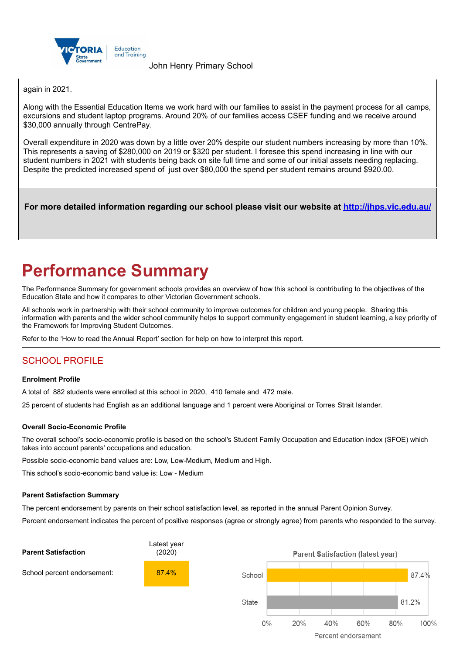

again in 2021.

Along with the Essential Education Items we work hard with our families to assist in the payment process for all camps, excursions and student laptop programs. Around 20% of our families access CSEF funding and we receive around \$30,000 annually through CentrePay.

Overall expenditure in 2020 was down by a little over 20% despite our student numbers increasing by more than 10%. This represents a saving of \$280,000 on 2019 or \$320 per student. I foresee this spend increasing in line with our student numbers in 2021 with students being back on site full time and some of our initial assets needing replacing. Despite the predicted increased spend of just over \$80,000 the spend per student remains around \$920.00.

**For more detailed information regarding our school please visit our website at <http://jhps.vic.edu.au/>**

# **Performance Summary**

The Performance Summary for government schools provides an overview of how this school is contributing to the objectives of the Education State and how it compares to other Victorian Government schools.

All schools work in partnership with their school community to improve outcomes for children and young people. Sharing this information with parents and the wider school community helps to support community engagement in student learning, a key priority of the Framework for Improving Student Outcomes.

Refer to the 'How to read the Annual Report' section for help on how to interpret this report.

# SCHOOL PROFILE

#### **Enrolment Profile**

A total of 882 students were enrolled at this school in 2020, 410 female and 472 male.

25 percent of students had English as an additional language and 1 percent were Aboriginal or Torres Strait Islander.

#### **Overall Socio-Economic Profile**

The overall school's socio-economic profile is based on the school's Student Family Occupation and Education index (SFOE) which takes into account parents' occupations and education.

Possible socio-economic band values are: Low, Low-Medium, Medium and High.

This school's socio-economic band value is: Low - Medium

#### **Parent Satisfaction Summary**

The percent endorsement by parents on their school satisfaction level, as reported in the annual Parent Opinion Survey.

Percent endorsement indicates the percent of positive responses (agree or strongly agree) from parents who responded to the survey.

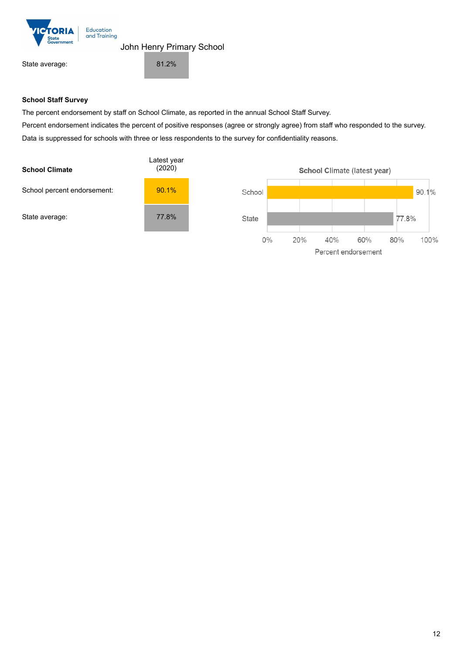

State average: 81.2%

### **School Staff Survey**

The percent endorsement by staff on School Climate, as reported in the annual School Staff Survey.

Percent endorsement indicates the percent of positive responses (agree or strongly agree) from staff who responded to the survey. Data is suppressed for schools with three or less respondents to the survey for confidentiality reasons.

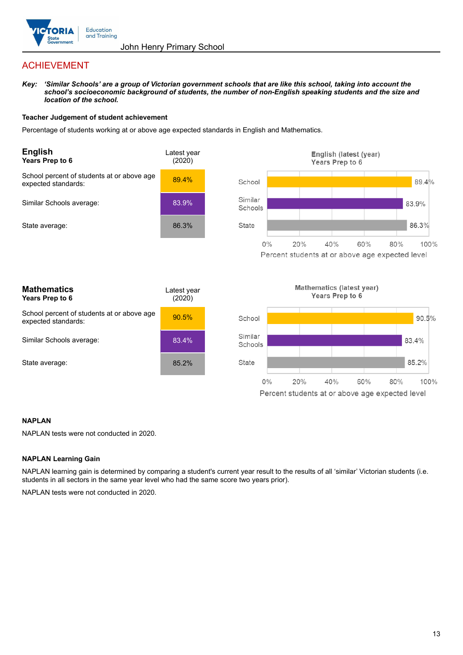

# ACHIEVEMENT

*Key: 'Similar Schools' are a group of Victorian government schools that are like this school, taking into account the school's socioeconomic background of students, the number of non-English speaking students and the size and location of the school.*

#### **Teacher Judgement of student achievement**

Percentage of students working at or above age expected standards in English and Mathematics.



#### **NAPLAN**

NAPLAN tests were not conducted in 2020.

#### **NAPLAN Learning Gain**

NAPLAN learning gain is determined by comparing a student's current year result to the results of all 'similar' Victorian students (i.e. students in all sectors in the same year level who had the same score two years prior).

NAPLAN tests were not conducted in 2020.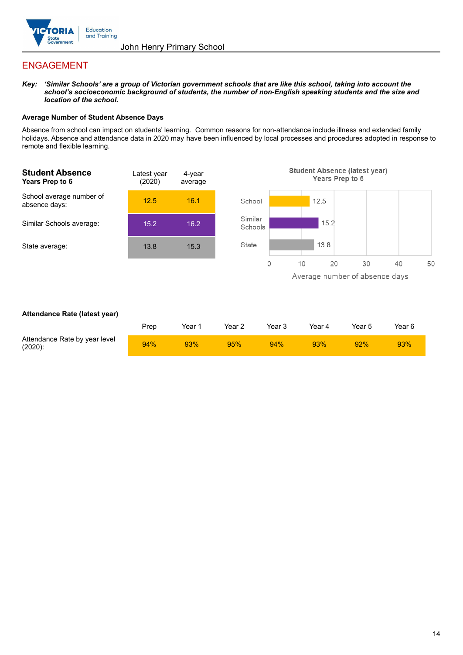

# ENGAGEMENT

*Key: 'Similar Schools' are a group of Victorian government schools that are like this school, taking into account the school's socioeconomic background of students, the number of non-English speaking students and the size and location of the school.*

#### **Average Number of Student Absence Days**

Absence from school can impact on students' learning. Common reasons for non-attendance include illness and extended family holidays. Absence and attendance data in 2020 may have been influenced by local processes and procedures adopted in response to remote and flexible learning.



#### **Attendance Rate (latest year)**

|                                             | Prep | Year | Year 2 | Year 3 | Year 4           | Year 5 | Year 6 |
|---------------------------------------------|------|------|--------|--------|------------------|--------|--------|
| Attendance Rate by year level<br>$(2020)$ : | 94%  | 93%  |        |        | 720 <sub>6</sub> |        | 93%    |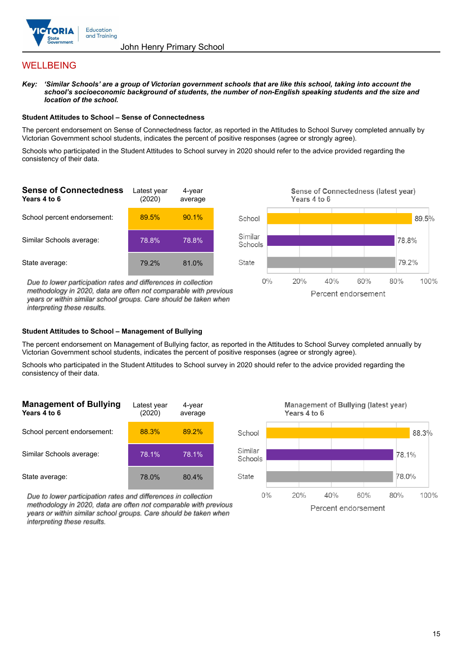

# **WELLBEING**

*Key: 'Similar Schools' are a group of Victorian government schools that are like this school, taking into account the school's socioeconomic background of students, the number of non-English speaking students and the size and location of the school.*

#### **Student Attitudes to School – Sense of Connectedness**

The percent endorsement on Sense of Connectedness factor, as reported in the Attitudes to School Survey completed annually by Victorian Government school students, indicates the percent of positive responses (agree or strongly agree).

Schools who participated in the Student Attitudes to School survey in 2020 should refer to the advice provided regarding the consistency of their data.



Due to lower participation rates and differences in collection methodology in 2020, data are often not comparable with previous years or within similar school groups. Care should be taken when interpreting these results.



#### **Student Attitudes to School – Management of Bullying**

The percent endorsement on Management of Bullying factor, as reported in the Attitudes to School Survey completed annually by Victorian Government school students, indicates the percent of positive responses (agree or strongly agree).

Schools who participated in the Student Attitudes to School survey in 2020 should refer to the advice provided regarding the consistency of their data.



Due to lower participation rates and differences in collection methodology in 2020, data are often not comparable with previous years or within similar school groups. Care should be taken when interpreting these results.

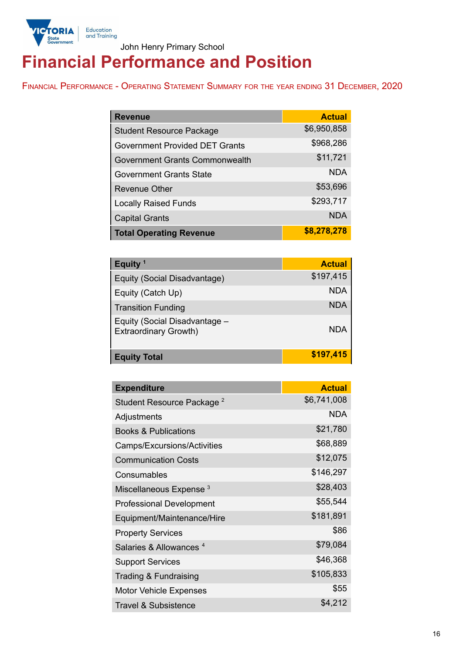

# **Financial Performance and Position**

FINANCIAL PERFORMANCE - OPERATING STATEMENT SUMMARY FOR THE YEAR ENDING 31 DECEMBER, 2020

| <b>Revenue</b>                        | <b>Actual</b> |
|---------------------------------------|---------------|
| <b>Student Resource Package</b>       | \$6,950,858   |
| <b>Government Provided DET Grants</b> | \$968,286     |
| Government Grants Commonwealth        | \$11,721      |
| <b>Government Grants State</b>        | <b>NDA</b>    |
| Revenue Other                         | \$53,696      |
| <b>Locally Raised Funds</b>           | \$293,717     |
| <b>Capital Grants</b>                 | <b>NDA</b>    |
| <b>Total Operating Revenue</b>        | \$8,278,278   |

| Equity <sup>1</sup>                                           | <b>Actual</b> |
|---------------------------------------------------------------|---------------|
| Equity (Social Disadvantage)                                  | \$197,415     |
| Equity (Catch Up)                                             | NDA           |
| <b>Transition Funding</b>                                     | NDA           |
| Equity (Social Disadvantage -<br><b>Extraordinary Growth)</b> | NDA           |
| <b>Equity Total</b>                                           | \$197,415     |

| <b>Expenditure</b>                    | <b>Actual</b> |
|---------------------------------------|---------------|
| Student Resource Package <sup>2</sup> | \$6,741,008   |
| Adjustments                           | <b>NDA</b>    |
| <b>Books &amp; Publications</b>       | \$21,780      |
| Camps/Excursions/Activities           | \$68,889      |
| <b>Communication Costs</b>            | \$12,075      |
| Consumables                           | \$146,297     |
| Miscellaneous Expense <sup>3</sup>    | \$28,403      |
| <b>Professional Development</b>       | \$55,544      |
| Equipment/Maintenance/Hire            | \$181,891     |
| <b>Property Services</b>              | \$86          |
| Salaries & Allowances <sup>4</sup>    | \$79,084      |
| <b>Support Services</b>               | \$46,368      |
| Trading & Fundraising                 | \$105,833     |
| <b>Motor Vehicle Expenses</b>         | \$55          |
| <b>Travel &amp; Subsistence</b>       | \$4,212       |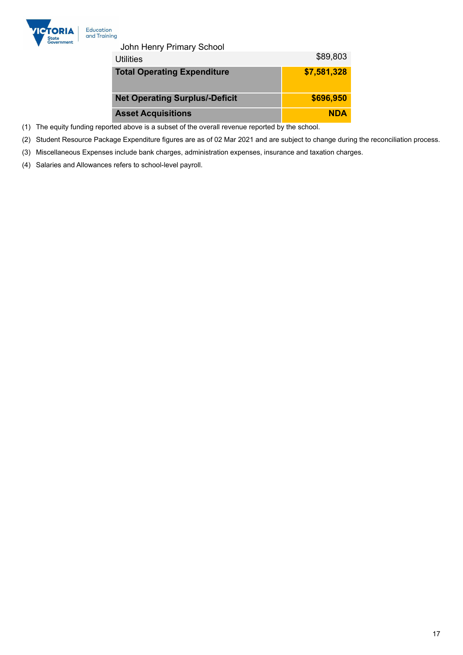

| Utilities                             | \$89,803    |
|---------------------------------------|-------------|
| <b>Total Operating Expenditure</b>    | \$7,581,328 |
| <b>Net Operating Surplus/-Deficit</b> | \$696,950   |
| <b>Asset Acquisitions</b>             | <b>NDA</b>  |

(1) The equity funding reported above is a subset of the overall revenue reported by the school.

(2) Student Resource Package Expenditure figures are as of 02 Mar 2021 and are subject to change during the reconciliation process.

(3) Miscellaneous Expenses include bank charges, administration expenses, insurance and taxation charges.

(4) Salaries and Allowances refers to school-level payroll.